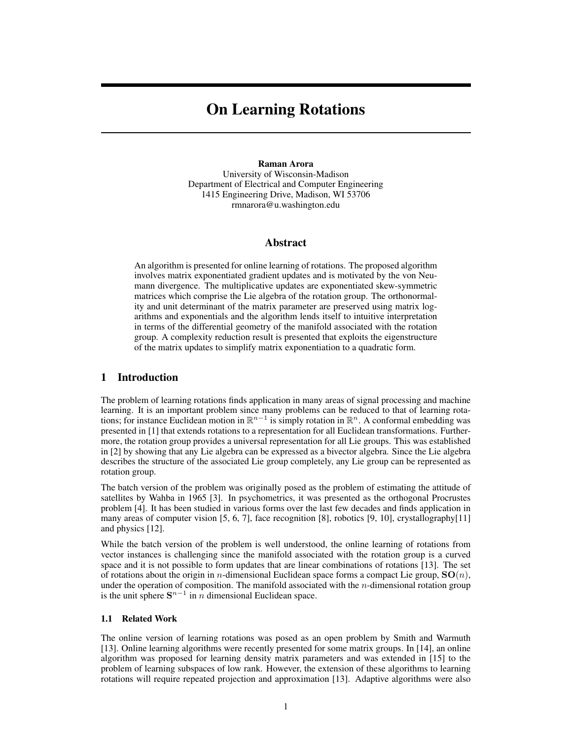# On Learning Rotations

## Raman Arora

University of Wisconsin-Madison Department of Electrical and Computer Engineering 1415 Engineering Drive, Madison, WI 53706 rmnarora@u.washington.edu

## Abstract

An algorithm is presented for online learning of rotations. The proposed algorithm involves matrix exponentiated gradient updates and is motivated by the von Neumann divergence. The multiplicative updates are exponentiated skew-symmetric matrices which comprise the Lie algebra of the rotation group. The orthonormality and unit determinant of the matrix parameter are preserved using matrix logarithms and exponentials and the algorithm lends itself to intuitive interpretation in terms of the differential geometry of the manifold associated with the rotation group. A complexity reduction result is presented that exploits the eigenstructure of the matrix updates to simplify matrix exponentiation to a quadratic form.

## 1 Introduction

The problem of learning rotations finds application in many areas of signal processing and machine learning. It is an important problem since many problems can be reduced to that of learning rotations; for instance Euclidean motion in  $\mathbb{R}^{n-1}$  is simply rotation in  $\mathbb{R}^n$ . A conformal embedding was presented in [1] that extends rotations to a representation for all Euclidean transformations. Furthermore, the rotation group provides a universal representation for all Lie groups. This was established in [2] by showing that any Lie algebra can be expressed as a bivector algebra. Since the Lie algebra describes the structure of the associated Lie group completely, any Lie group can be represented as rotation group.

The batch version of the problem was originally posed as the problem of estimating the attitude of satellites by Wahba in 1965 [3]. In psychometrics, it was presented as the orthogonal Procrustes problem [4]. It has been studied in various forms over the last few decades and finds application in many areas of computer vision [5, 6, 7], face recognition [8], robotics [9, 10], crystallography[11] and physics [12].

While the batch version of the problem is well understood, the online learning of rotations from vector instances is challenging since the manifold associated with the rotation group is a curved space and it is not possible to form updates that are linear combinations of rotations [13]. The set of rotations about the origin in *n*-dimensional Euclidean space forms a compact Lie group,  $SO(n)$ , under the operation of composition. The manifold associated with the  $n$ -dimensional rotation group is the unit sphere  $S^{n-1}$  in *n* dimensional Euclidean space.

#### 1.1 Related Work

The online version of learning rotations was posed as an open problem by Smith and Warmuth [13]. Online learning algorithms were recently presented for some matrix groups. In [14], an online algorithm was proposed for learning density matrix parameters and was extended in [15] to the problem of learning subspaces of low rank. However, the extension of these algorithms to learning rotations will require repeated projection and approximation [13]. Adaptive algorithms were also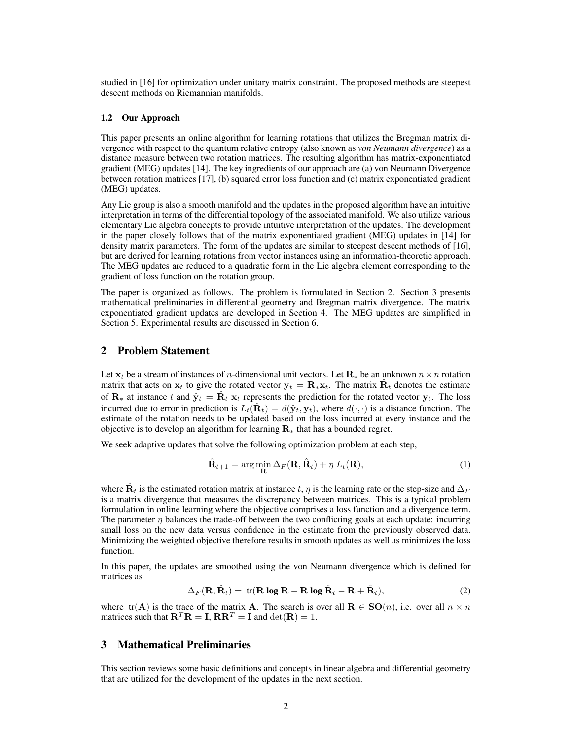studied in [16] for optimization under unitary matrix constraint. The proposed methods are steepest descent methods on Riemannian manifolds.

#### 1.2 Our Approach

This paper presents an online algorithm for learning rotations that utilizes the Bregman matrix divergence with respect to the quantum relative entropy (also known as *von Neumann divergence*) as a distance measure between two rotation matrices. The resulting algorithm has matrix-exponentiated gradient (MEG) updates [14]. The key ingredients of our approach are (a) von Neumann Divergence between rotation matrices [17], (b) squared error loss function and (c) matrix exponentiated gradient (MEG) updates.

Any Lie group is also a smooth manifold and the updates in the proposed algorithm have an intuitive interpretation in terms of the differential topology of the associated manifold. We also utilize various elementary Lie algebra concepts to provide intuitive interpretation of the updates. The development in the paper closely follows that of the matrix exponentiated gradient (MEG) updates in [14] for density matrix parameters. The form of the updates are similar to steepest descent methods of [16], but are derived for learning rotations from vector instances using an information-theoretic approach. The MEG updates are reduced to a quadratic form in the Lie algebra element corresponding to the gradient of loss function on the rotation group.

The paper is organized as follows. The problem is formulated in Section 2. Section 3 presents mathematical preliminaries in differential geometry and Bregman matrix divergence. The matrix exponentiated gradient updates are developed in Section 4. The MEG updates are simplified in Section 5. Experimental results are discussed in Section 6.

## 2 Problem Statement

Let  $x_t$  be a stream of instances of *n*-dimensional unit vectors. Let  $\mathbf{R}_*$  be an unknown  $n \times n$  rotation matrix that acts on  $x_t$  to give the rotated vector  $y_t = \mathbf{R}_{*}x_t$ . The matrix  $\hat{\mathbf{R}}_t$  denotes the estimate of  $\mathbf{R}_{*}$  at instance t and  $\hat{\mathbf{y}}_t = \hat{\mathbf{R}}_t \mathbf{x}_t$  represents the prediction for the rotated vector  $\mathbf{y}_t$ . The loss incurred due to error in prediction is  $L_t(\hat{\mathbf{R}}_t) = d(\hat{\mathbf{y}}_t, \mathbf{y}_t)$ , where  $d(\cdot, \cdot)$  is a distance function. The estimate of the rotation needs to be updated based on the loss incurred at every instance and the objective is to develop an algorithm for learning  $\mathbf{R}_{*}$  that has a bounded regret.

We seek adaptive updates that solve the following optimization problem at each step,

$$
\hat{\mathbf{R}}_{t+1} = \arg\min_{\mathbf{R}} \Delta_F(\mathbf{R}, \hat{\mathbf{R}}_t) + \eta \ L_t(\mathbf{R}),
$$
\n(1)

where  $\hat{\mathbf{R}}_t$  is the estimated rotation matrix at instance  $t$ ,  $\eta$  is the learning rate or the step-size and  $\Delta_F$ is a matrix divergence that measures the discrepancy between matrices. This is a typical problem formulation in online learning where the objective comprises a loss function and a divergence term. The parameter  $\eta$  balances the trade-off between the two conflicting goals at each update: incurring small loss on the new data versus confidence in the estimate from the previously observed data. Minimizing the weighted objective therefore results in smooth updates as well as minimizes the loss function.

In this paper, the updates are smoothed using the von Neumann divergence which is defined for matrices as

$$
\Delta_F(\mathbf{R}, \hat{\mathbf{R}}_t) = \text{tr}(\mathbf{R} \log \mathbf{R} - \mathbf{R} \log \hat{\mathbf{R}}_t - \mathbf{R} + \hat{\mathbf{R}}_t), \tag{2}
$$

where tr(A) is the trace of the matrix A. The search is over all  $\mathbf{R} \in SO(n)$ , i.e. over all  $n \times n$ matrices such that  $\mathbf{R}^T \mathbf{R} = \mathbf{I}$ ,  $\mathbf{R} \mathbf{R}^T = \mathbf{I}$  and  $\det(\mathbf{R}) = 1$ .

## 3 Mathematical Preliminaries

This section reviews some basic definitions and concepts in linear algebra and differential geometry that are utilized for the development of the updates in the next section.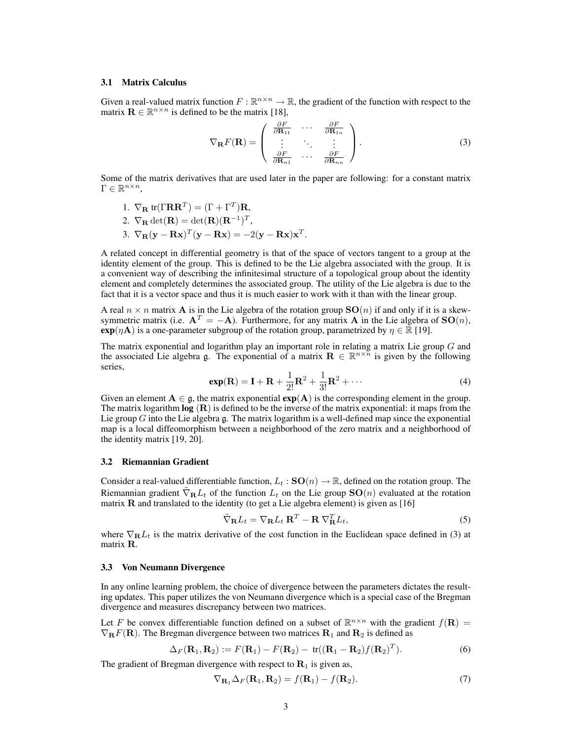#### 3.1 Matrix Calculus

Given a real-valued matrix function  $F : \mathbb{R}^{n \times n} \to \mathbb{R}$ , the gradient of the function with respect to the matrix  $\mathbf{R} \in \mathbb{R}^{n \times n}$  is defined to be the matrix [18],

$$
\nabla_{\mathbf{R}} F(\mathbf{R}) = \begin{pmatrix} \frac{\partial F}{\partial \mathbf{R}_{11}} & \cdots & \frac{\partial F}{\partial \mathbf{R}_{1n}} \\ \vdots & \ddots & \vdots \\ \frac{\partial F}{\partial \mathbf{R}_{n1}} & \cdots & \frac{\partial F}{\partial \mathbf{R}_{nn}} \end{pmatrix}.
$$
 (3)

Some of the matrix derivatives that are used later in the paper are following: for a constant matrix  $\Gamma \in \mathbb{R}^{n \times n}$ ,

1. 
$$
\nabla_{\mathbf{R}} \text{tr}(\Gamma \mathbf{R} \mathbf{R}^T) = (\Gamma + \Gamma^T) \mathbf{R},
$$

2. 
$$
\nabla_{\mathbf{R}} \det(\mathbf{R}) = \det(\mathbf{R})(\mathbf{R}^{-1})^T
$$
,

3.  $\nabla_{\mathbf{R}}(\mathbf{y}-\mathbf{R}\mathbf{x})^T(\mathbf{y}-\mathbf{R}\mathbf{x}) = -2(\mathbf{y}-\mathbf{R}\mathbf{x})\mathbf{x}^T$ .

A related concept in differential geometry is that of the space of vectors tangent to a group at the identity element of the group. This is defined to be the Lie algebra associated with the group. It is a convenient way of describing the infinitesimal structure of a topological group about the identity element and completely determines the associated group. The utility of the Lie algebra is due to the fact that it is a vector space and thus it is much easier to work with it than with the linear group.

A real  $n \times n$  matrix A is in the Lie algebra of the rotation group  $SO(n)$  if and only if it is a skewsymmetric matrix (i.e.  $A^T = -A$ ). Furthermore, for any matrix A in the Lie algebra of  $SO(n)$ ,  $exp(\eta \mathbf{A})$  is a one-parameter subgroup of the rotation group, parametrized by  $\eta \in \mathbb{R}$  [19].

The matrix exponential and logarithm play an important role in relating a matrix Lie group G and the associated Lie algebra g. The exponential of a matrix  $\mathbf{R} \in \mathbb{R}^{n \times n}$  is given by the following series,

$$
\exp(\mathbf{R}) = \mathbf{I} + \mathbf{R} + \frac{1}{2!} \mathbf{R}^2 + \frac{1}{3!} \mathbf{R}^2 + \cdots
$$
 (4)

Given an element  $A \in \mathfrak{g}$ , the matrix exponential  $exp(A)$  is the corresponding element in the group. The matrix logarithm  $log(R)$  is defined to be the inverse of the matrix exponential: it maps from the Lie group G into the Lie algebra g. The matrix logarithm is a well-defined map since the exponential map is a local diffeomorphism between a neighborhood of the zero matrix and a neighborhood of the identity matrix [19, 20].

## 3.2 Riemannian Gradient

Consider a real-valued differentiable function,  $L_t$ :  $SO(n) \to \mathbb{R}$ , defined on the rotation group. The Riemannian gradient  $\overline{\nabla}_{\mathbf{R}}L_t$  of the function  $L_t$  on the Lie group  $\mathbf{SO}(n)$  evaluated at the rotation matrix  $R$  and translated to the identity (to get a Lie algebra element) is given as  $[16]$ 

$$
\tilde{\nabla}_{\mathbf{R}}L_t = \nabla_{\mathbf{R}}L_t \mathbf{R}^T - \mathbf{R} \nabla_{\mathbf{R}}^T L_t, \tag{5}
$$

where  $\nabla_{\bf R}L_t$  is the matrix derivative of the cost function in the Euclidean space defined in (3) at matrix R.

#### 3.3 Von Neumann Divergence

In any online learning problem, the choice of divergence between the parameters dictates the resulting updates. This paper utilizes the von Neumann divergence which is a special case of the Bregman divergence and measures discrepancy between two matrices.

Let F be convex differentiable function defined on a subset of  $\mathbb{R}^{n \times n}$  with the gradient  $f(\mathbf{R}) =$  $\nabla_{\bf R}F({\bf R})$ . The Bregman divergence between two matrices  ${\bf R}_1$  and  ${\bf R}_2$  is defined as

$$
\Delta_F(\mathbf{R}_1, \mathbf{R}_2) := F(\mathbf{R}_1) - F(\mathbf{R}_2) - \text{tr}((\mathbf{R}_1 - \mathbf{R}_2) f(\mathbf{R}_2)^T).
$$
\n(6)

The gradient of Bregman divergence with respect to  $\mathbf{R}_1$  is given as,

$$
\nabla_{\mathbf{R}_1} \Delta_F(\mathbf{R}_1, \mathbf{R}_2) = f(\mathbf{R}_1) - f(\mathbf{R}_2). \tag{7}
$$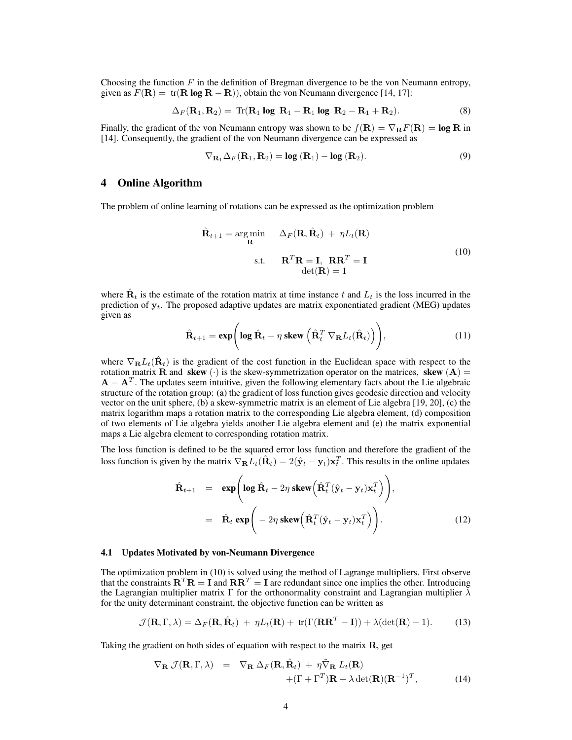Choosing the function  $F$  in the definition of Bregman divergence to be the von Neumann entropy, given as  $F(\mathbf{R}) = \text{tr}(\mathbf{R} \log \mathbf{R} - \mathbf{R})$ , obtain the von Neumann divergence [14, 17]:

$$
\Delta_F(\mathbf{R}_1, \mathbf{R}_2) = \text{Tr}(\mathbf{R}_1 \text{ log } \mathbf{R}_1 - \mathbf{R}_1 \text{ log } \mathbf{R}_2 - \mathbf{R}_1 + \mathbf{R}_2). \tag{8}
$$

Finally, the gradient of the von Neumann entropy was shown to be  $f(\mathbf{R}) = \nabla_{\mathbf{R}} F(\mathbf{R}) = \log \mathbf{R}$  in [14]. Consequently, the gradient of the von Neumann divergence can be expressed as

$$
\nabla_{\mathbf{R}_1} \Delta_F(\mathbf{R}_1, \mathbf{R}_2) = \log(\mathbf{R}_1) - \log(\mathbf{R}_2).
$$
 (9)

## 4 Online Algorithm

The problem of online learning of rotations can be expressed as the optimization problem

$$
\hat{\mathbf{R}}_{t+1} = \underset{\mathbf{R}}{\arg \min} \quad \Delta_F(\mathbf{R}, \hat{\mathbf{R}}_t) + \eta L_t(\mathbf{R})
$$
\ns.t. 
$$
\mathbf{R}^T \mathbf{R} = \mathbf{I}, \ \mathbf{R} \mathbf{R}^T = \mathbf{I}
$$
\n
$$
\det(\mathbf{R}) = 1
$$
\n(10)

where  $\hat{\mathbf{R}}_t$  is the estimate of the rotation matrix at time instance t and  $L_t$  is the loss incurred in the prediction of  $y_t$ . The proposed adaptive updates are matrix exponentiated gradient (MEG) updates given as

$$
\hat{\mathbf{R}}_{t+1} = \exp\left(\log \hat{\mathbf{R}}_t - \eta \,\text{skew}\left(\hat{\mathbf{R}}_t^T \,\nabla_{\mathbf{R}} L_t(\hat{\mathbf{R}}_t)\right)\right),\tag{11}
$$

where  $\nabla_{\bf R} L_t(\hat{\bf R}_t)$  is the gradient of the cost function in the Euclidean space with respect to the rotation matrix **R** and **skew** (·) is the skew-symmetrization operator on the matrices, **skew** (**A**) =  $\mathbf{A} - \mathbf{A}^T$ . The updates seem intuitive, given the following elementary facts about the Lie algebraic structure of the rotation group: (a) the gradient of loss function gives geodesic direction and velocity vector on the unit sphere, (b) a skew-symmetric matrix is an element of Lie algebra [19, 20], (c) the matrix logarithm maps a rotation matrix to the corresponding Lie algebra element, (d) composition of two elements of Lie algebra yields another Lie algebra element and (e) the matrix exponential maps a Lie algebra element to corresponding rotation matrix.

The loss function is defined to be the squared error loss function and therefore the gradient of the loss function is given by the matrix  $\nabla_{\bf R} L_t(\hat{\bf R}_t) = 2(\hat{\bf y}_t - {\bf y}_t) {\bf x}_t^T$ . This results in the online updates

$$
\hat{\mathbf{R}}_{t+1} = \exp\left(\log \hat{\mathbf{R}}_t - 2\eta \,\text{skew}\left(\hat{\mathbf{R}}_t^T(\hat{\mathbf{y}}_t - \mathbf{y}_t)\mathbf{x}_t^T\right)\right),
$$
\n
$$
= \hat{\mathbf{R}}_t \exp\left(-2\eta \,\text{skew}\left(\hat{\mathbf{R}}_t^T(\hat{\mathbf{y}}_t - \mathbf{y}_t)\mathbf{x}_t^T\right)\right). \tag{12}
$$

#### 4.1 Updates Motivated by von-Neumann Divergence

The optimization problem in (10) is solved using the method of Lagrange multipliers. First observe that the constraints  $\mathbf{R}^T \mathbf{R} = \mathbf{I}$  and  $\mathbf{R} \mathbf{R}^T = \mathbf{I}$  are redundant since one implies the other. Introducing the Lagrangian multiplier matrix Γ for the orthonormality constraint and Lagrangian multiplier  $\lambda$ for the unity determinant constraint, the objective function can be written as

$$
\mathcal{J}(\mathbf{R}, \Gamma, \lambda) = \Delta_F(\mathbf{R}, \hat{\mathbf{R}}_t) + \eta L_t(\mathbf{R}) + \text{tr}(\Gamma(\mathbf{R}\mathbf{R}^T - \mathbf{I})) + \lambda(\det(\mathbf{R}) - 1).
$$
 (13)

Taking the gradient on both sides of equation with respect to the matrix  $\bf{R}$ , get

$$
\nabla_{\mathbf{R}} \mathcal{J}(\mathbf{R}, \Gamma, \lambda) = \nabla_{\mathbf{R}} \Delta_F(\mathbf{R}, \hat{\mathbf{R}}_t) + \eta \tilde{\nabla}_{\mathbf{R}} L_t(\mathbf{R}) + (\Gamma + \Gamma^T) \mathbf{R} + \lambda \det(\mathbf{R})(\mathbf{R}^{-1})^T,
$$
(14)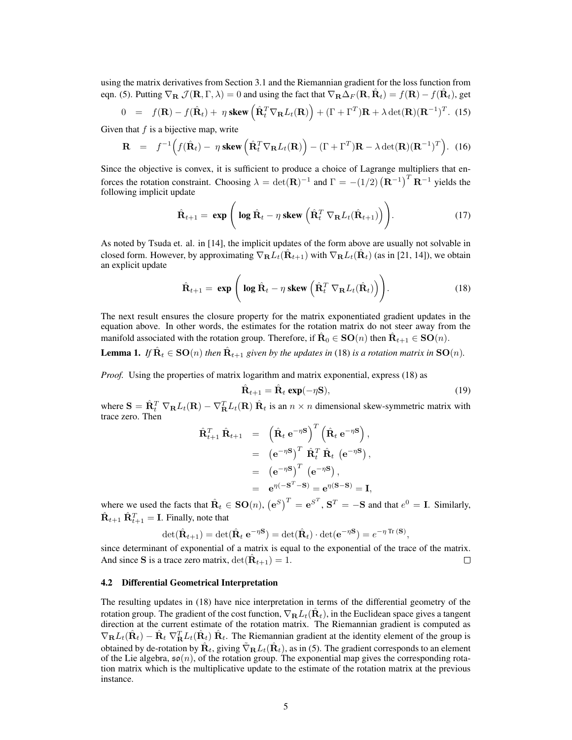using the matrix derivatives from Section 3.1 and the Riemannian gradient for the loss function from eqn. (5). Putting  $\nabla_{\mathbf{R}} \mathcal{J}(\mathbf{R}, \Gamma, \lambda) = 0$  and using the fact that  $\nabla_{\mathbf{R}} \Delta_F(\mathbf{R}, \hat{\mathbf{R}}_t) = f(\mathbf{R}) - f(\hat{\mathbf{R}}_t)$ , get

$$
0 = f(\mathbf{R}) - f(\hat{\mathbf{R}}_t) + \eta \text{ skew } (\hat{\mathbf{R}}_t^T \nabla_{\mathbf{R}} L_t(\mathbf{R})) + (\Gamma + \Gamma^T) \mathbf{R} + \lambda \det(\mathbf{R}) (\mathbf{R}^{-1})^T.
$$
 (15)

Given that  $f$  is a bijective map, write

$$
\mathbf{R} = f^{-1} \Big( f(\hat{\mathbf{R}}_t) - \eta \text{ skew } \Big( \hat{\mathbf{R}}_t^T \nabla_{\mathbf{R}} L_t(\mathbf{R}) \Big) - (\Gamma + \Gamma^T) \mathbf{R} - \lambda \det(\mathbf{R}) (\mathbf{R}^{-1})^T \Big). \tag{16}
$$

Since the objective is convex, it is sufficient to produce a choice of Lagrange multipliers that enforces the rotation constraint. Choosing  $\lambda = \det(\mathbf{R})^{-1}$  and  $\Gamma = -(1/2) (\mathbf{R}^{-1})^T \mathbf{R}^{-1}$  yields the following implicit update

$$
\hat{\mathbf{R}}_{t+1} = \exp\left(\log \hat{\mathbf{R}}_t - \eta \text{ skew}\left(\hat{\mathbf{R}}_t^T \nabla_{\mathbf{R}} L_t(\hat{\mathbf{R}}_{t+1})\right)\right).
$$
 (17)

As noted by Tsuda et. al. in [14], the implicit updates of the form above are usually not solvable in closed form. However, by approximating  $\nabla_{\bf R} L_t(\hat{\bf R}_{t+1})$  with  $\nabla_{\bf R} L_t(\hat{\bf R}_t)$  (as in [21, 14]), we obtain an explicit update

$$
\hat{\mathbf{R}}_{t+1} = \exp\left(\log \hat{\mathbf{R}}_t - \eta \,\text{skew}\left(\hat{\mathbf{R}}_t^T \,\nabla_{\mathbf{R}} L_t(\hat{\mathbf{R}}_t)\right)\right).
$$
\n(18)

The next result ensures the closure property for the matrix exponentiated gradient updates in the equation above. In other words, the estimates for the rotation matrix do not steer away from the manifold associated with the rotation group. Therefore, if  $\hat{\mathbf{R}}_0 \in \mathbf{SO}(n)$  then  $\hat{\mathbf{R}}_{t+1} \in \mathbf{SO}(n)$ .

**Lemma 1.** If  $\hat{\mathbf{R}}_t \in \mathbf{SO}(n)$  then  $\hat{\mathbf{R}}_{t+1}$  given by the updates in (18) is a rotation matrix in  $\mathbf{SO}(n)$ .

*Proof.* Using the properties of matrix logarithm and matrix exponential, express (18) as

$$
\hat{\mathbf{R}}_{t+1} = \hat{\mathbf{R}}_t \exp(-\eta \mathbf{S}),\tag{19}
$$

where  $\mathbf{S} = \hat{\mathbf{R}}_t^T \nabla_{\mathbf{R}} L_t(\mathbf{R}) - \nabla_{\mathbf{R}}^T L_t(\mathbf{R}) \hat{\mathbf{R}}_t$  is an  $n \times n$  dimensional skew-symmetric matrix with trace zero. Then

$$
\hat{\mathbf{R}}_{t+1}^{T} \hat{\mathbf{R}}_{t+1} = (\hat{\mathbf{R}}_{t} e^{-\eta \mathbf{S}})^{T} (\hat{\mathbf{R}}_{t} e^{-\eta \mathbf{S}}),
$$
  
\n
$$
= (e^{-\eta \mathbf{S}})^{T} \hat{\mathbf{R}}_{t}^{T} \hat{\mathbf{R}}_{t} (e^{-\eta \mathbf{S}}),
$$
  
\n
$$
= (e^{-\eta \mathbf{S}})^{T} (e^{-\eta \mathbf{S}}),
$$
  
\n
$$
= e^{\eta(-\mathbf{S}^{T}-\mathbf{S})} = e^{\eta(\mathbf{S}-\mathbf{S})} = \mathbf{I},
$$

where we used the facts that  $\hat{\mathbf{R}}_t \in \mathbf{SO}(n)$ ,  $(\mathbf{e}^S)^T = \mathbf{e}^{S^T}$ ,  $\mathbf{S}^T = -\mathbf{S}$  and that  $e^0 = \mathbf{I}$ . Similarly,  $\hat{\mathbf{R}}_{t+1} \hat{\mathbf{R}}_{t+1}^T = \mathbf{I}$ . Finally, note that

$$
\det(\hat{\mathbf{R}}_{t+1}) = \det(\hat{\mathbf{R}}_t \mathbf{e}^{-\eta \mathbf{S}}) = \det(\hat{\mathbf{R}}_t) \cdot \det(\mathbf{e}^{-\eta \mathbf{S}}) = e^{-\eta \operatorname{Tr}(\mathbf{S})},
$$

since determinant of exponential of a matrix is equal to the exponential of the trace of the matrix. And since S is a trace zero matrix,  $\det(\hat{\mathbf{R}}_{t+1}) = 1$ .  $\Box$ 

#### 4.2 Differential Geometrical Interpretation

The resulting updates in (18) have nice interpretation in terms of the differential geometry of the rotation group. The gradient of the cost function,  $\nabla_{\bf R} L_t(\hat{\bf R}_t)$ , in the Euclidean space gives a tangent direction at the current estimate of the rotation matrix. The Riemannian gradient is computed as  $\nabla_{\bf R}L_t(\hat{\bf R}_t) - \hat{\bf R}_t \nabla_{\bf R}^T L_t(\hat{\bf R}_t) \hat{\bf R}_t$ . The Riemannian gradient at the identity element of the group is obtained by de-rotation by  $\hat{\bf R}_t$ , giving  $\tilde{\nabla}_{\bf R}L_t(\hat{\bf R}_t)$ , as in (5). The gradient corresponds to an element of the Lie algebra,  $\mathfrak{so}(n)$ , of the rotation group. The exponential map gives the corresponding rotation matrix which is the multiplicative update to the estimate of the rotation matrix at the previous instance.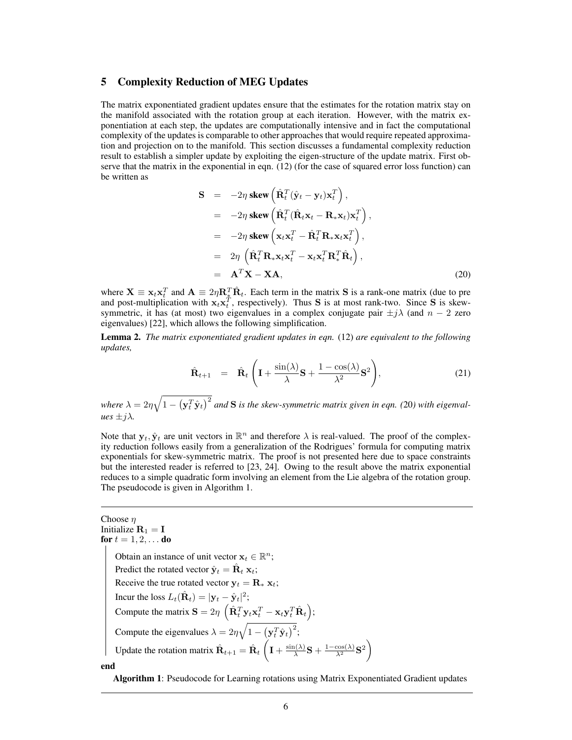## 5 Complexity Reduction of MEG Updates

The matrix exponentiated gradient updates ensure that the estimates for the rotation matrix stay on the manifold associated with the rotation group at each iteration. However, with the matrix exponentiation at each step, the updates are computationally intensive and in fact the computational complexity of the updates is comparable to other approaches that would require repeated approximation and projection on to the manifold. This section discusses a fundamental complexity reduction result to establish a simpler update by exploiting the eigen-structure of the update matrix. First observe that the matrix in the exponential in eqn. (12) (for the case of squared error loss function) can be written as

$$
\mathbf{S} = -2\eta \text{ skew } (\hat{\mathbf{R}}_t^T (\hat{\mathbf{y}}_t - \mathbf{y}_t) \mathbf{x}_t^T),
$$
  
\n
$$
= -2\eta \text{ skew } (\hat{\mathbf{R}}_t^T (\hat{\mathbf{R}}_t \mathbf{x}_t - \mathbf{R}_* \mathbf{x}_t) \mathbf{x}_t^T),
$$
  
\n
$$
= -2\eta \text{ skew } (\mathbf{x}_t \mathbf{x}_t^T - \hat{\mathbf{R}}_t^T \mathbf{R}_* \mathbf{x}_t \mathbf{x}_t^T),
$$
  
\n
$$
= 2\eta \left( \hat{\mathbf{R}}_t^T \mathbf{R}_* \mathbf{x}_t \mathbf{x}_t^T - \mathbf{x}_t \mathbf{x}_t^T \mathbf{R}_*^T \hat{\mathbf{R}}_t \right),
$$
  
\n
$$
= \mathbf{A}^T \mathbf{X} - \mathbf{X} \mathbf{A},
$$
 (20)

where  $X \equiv x_t x_t^T$  and  $A \equiv 2\eta R_{\ast}^T \hat{R}_t$ . Each term in the matrix S is a rank-one matrix (due to pre and post-multiplication with  $x_t x_t^T$ , respectively). Thus S is at most rank-two. Since S is skewsymmetric, it has (at most) two eigenvalues in a complex conjugate pair  $\pm j\lambda$  (and  $n-2$  zero eigenvalues) [22], which allows the following simplification.

Lemma 2. *The matrix exponentiated gradient updates in eqn.* (12) *are equivalent to the following updates,*

$$
\hat{\mathbf{R}}_{t+1} = \hat{\mathbf{R}}_t \left( \mathbf{I} + \frac{\sin(\lambda)}{\lambda} \mathbf{S} + \frac{1 - \cos(\lambda)}{\lambda^2} \mathbf{S}^2 \right),\tag{21}
$$

where  $\lambda = 2\eta\sqrt{1-\left(\mathbf{y}_t^T\hat{\mathbf{y}}_t\right)^2}$  and **S** is the skew-symmetric matrix given in eqn. (20) with eigenval $ues \pm i\lambda$ .

Note that  $y_t$ ,  $\hat{y}_t$  are unit vectors in  $\mathbb{R}^n$  and therefore  $\lambda$  is real-valued. The proof of the complexity reduction follows easily from a generalization of the Rodrigues' formula for computing matrix exponentials for skew-symmetric matrix. The proof is not presented here due to space constraints but the interested reader is referred to [23, 24]. Owing to the result above the matrix exponential reduces to a simple quadratic form involving an element from the Lie algebra of the rotation group. The pseudocode is given in Algorithm 1.

## Choose  $\eta$ Initialize  $\mathbf{R}_1 = \mathbf{I}$ for  $t = 1, 2, ...$  do Obtain an instance of unit vector  $\mathbf{x}_t \in \mathbb{R}^n$ ; Predict the rotated vector  $\hat{\mathbf{y}}_t = \hat{\mathbf{R}}_t \mathbf{x}_t$ ; Receive the true rotated vector  $y_t = R_* x_t$ ; Incur the loss  $L_t(\hat{\mathbf{R}}_t) = |\mathbf{y}_t - \hat{\mathbf{y}}_t|^2;$ Compute the matrix  $\mathbf{S} = 2\eta \, \left( \hat{\mathbf{R}}_t^T \mathbf{y}_t \mathbf{x}_t^T - \mathbf{x}_t \mathbf{y}_t^T \hat{\mathbf{R}}_t \right);$ Compute the eigenvalues  $\lambda = 2\eta \sqrt{1 - (\mathbf{y}_t^T \hat{\mathbf{y}}_t)^2}$ ; Update the rotation matrix  $\hat{\mathbf{R}}_{t+1} = \hat{\mathbf{R}}_t \left( \mathbf{I} + \frac{\sin(\lambda)}{\lambda} \right)$  $\frac{\ln(\lambda)}{\lambda} \mathbf{S} + \frac{1-\cos(\lambda)}{\lambda^2} \mathbf{S}^2$ end

Algorithm 1: Pseudocode for Learning rotations using Matrix Exponentiated Gradient updates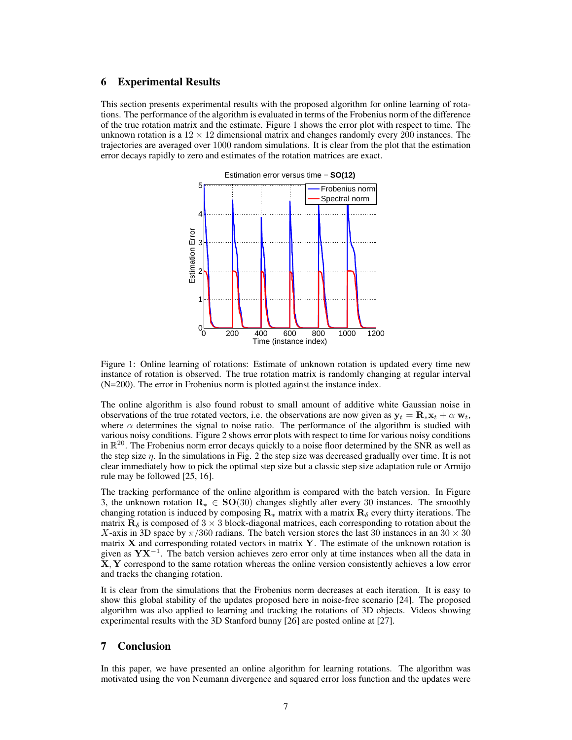## 6 Experimental Results

This section presents experimental results with the proposed algorithm for online learning of rotations. The performance of the algorithm is evaluated in terms of the Frobenius norm of the difference of the true rotation matrix and the estimate. Figure 1 shows the error plot with respect to time. The unknown rotation is a  $12 \times 12$  dimensional matrix and changes randomly every 200 instances. The trajectories are averaged over 1000 random simulations. It is clear from the plot that the estimation error decays rapidly to zero and estimates of the rotation matrices are exact.



Figure 1: Online learning of rotations: Estimate of unknown rotation is updated every time new instance of rotation is observed. The true rotation matrix is randomly changing at regular interval (N=200). The error in Frobenius norm is plotted against the instance index.

The online algorithm is also found robust to small amount of additive white Gaussian noise in observations of the true rotated vectors, i.e. the observations are now given as  $y_t = \mathbf{R}_{\ast} \mathbf{x}_t + \alpha \mathbf{w}_t$ , where  $\alpha$  determines the signal to noise ratio. The performance of the algorithm is studied with various noisy conditions. Figure 2 shows error plots with respect to time for various noisy conditions in  $\mathbb{R}^{20}$ . The Frobenius norm error decays quickly to a noise floor determined by the SNR as well as the step size  $\eta$ . In the simulations in Fig. 2 the step size was decreased gradually over time. It is not clear immediately how to pick the optimal step size but a classic step size adaptation rule or Armijo rule may be followed [25, 16].

The tracking performance of the online algorithm is compared with the batch version. In Figure 3, the unknown rotation  $\mathbf{R}_{*} \in \mathbf{SO}(30)$  changes slightly after every 30 instances. The smoothly changing rotation is induced by composing  $\mathbf{R}_{*}$  matrix with a matrix  $\mathbf{R}_{\delta}$  every thirty iterations. The matrix  $\mathbf{R}_{\delta}$  is composed of 3  $\times$  3 block-diagonal matrices, each corresponding to rotation about the X-axis in 3D space by  $\pi/360$  radians. The batch version stores the last 30 instances in an 30  $\times$  30 matrix  $X$  and corresponding rotated vectors in matrix  $Y$ . The estimate of the unknown rotation is given as  $\mathbf{Y} \mathbf{X}^{-1}$ . The batch version achieves zero error only at time instances when all the data in X, Y correspond to the same rotation whereas the online version consistently achieves a low error and tracks the changing rotation.

It is clear from the simulations that the Frobenius norm decreases at each iteration. It is easy to show this global stability of the updates proposed here in noise-free scenario [24]. The proposed algorithm was also applied to learning and tracking the rotations of 3D objects. Videos showing experimental results with the 3D Stanford bunny [26] are posted online at [27].

## 7 Conclusion

In this paper, we have presented an online algorithm for learning rotations. The algorithm was motivated using the von Neumann divergence and squared error loss function and the updates were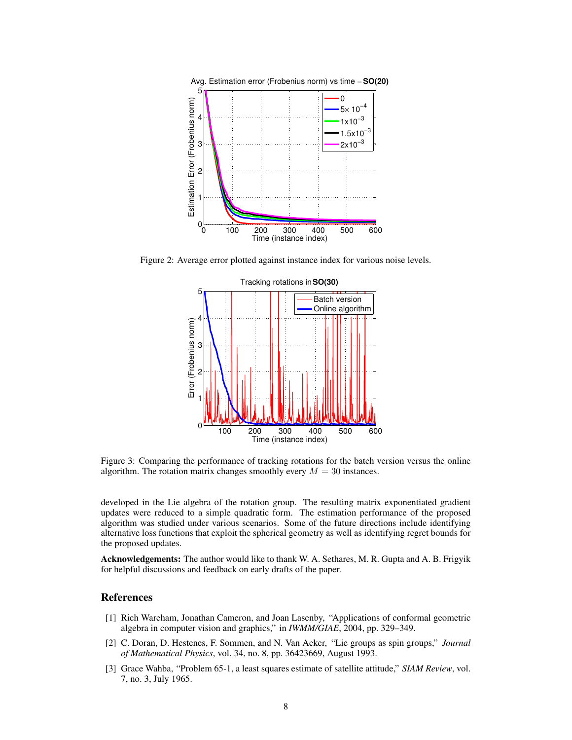

Figure 2: Average error plotted against instance index for various noise levels.



Figure 3: Comparing the performance of tracking rotations for the batch version versus the online algorithm. The rotation matrix changes smoothly every  $M = 30$  instances.

developed in the Lie algebra of the rotation group. The resulting matrix exponentiated gradient updates were reduced to a simple quadratic form. The estimation performance of the proposed algorithm was studied under various scenarios. Some of the future directions include identifying alternative loss functions that exploit the spherical geometry as well as identifying regret bounds for the proposed updates.

Acknowledgements: The author would like to thank W. A. Sethares, M. R. Gupta and A. B. Frigyik for helpful discussions and feedback on early drafts of the paper.

## References

- [1] Rich Wareham, Jonathan Cameron, and Joan Lasenby, "Applications of conformal geometric algebra in computer vision and graphics," in *IWMM/GIAE*, 2004, pp. 329–349.
- [2] C. Doran, D. Hestenes, F. Sommen, and N. Van Acker, "Lie groups as spin groups," *Journal of Mathematical Physics*, vol. 34, no. 8, pp. 36423669, August 1993.
- [3] Grace Wahba, "Problem 65-1, a least squares estimate of satellite attitude," *SIAM Review*, vol. 7, no. 3, July 1965.